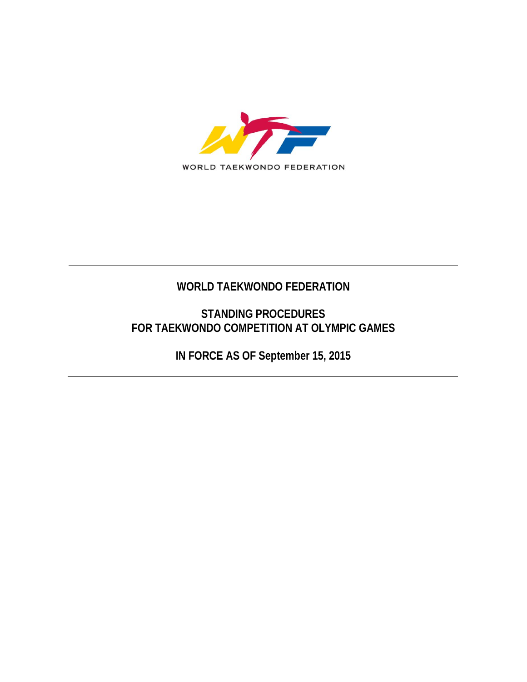

## **WORLD TAEKWONDO FEDERATION**

### **STANDING PROCEDURES FOR TAEKWONDO COMPETITION AT OLYMPIC GAMES**

**IN FORCE AS OF September 15, 2015**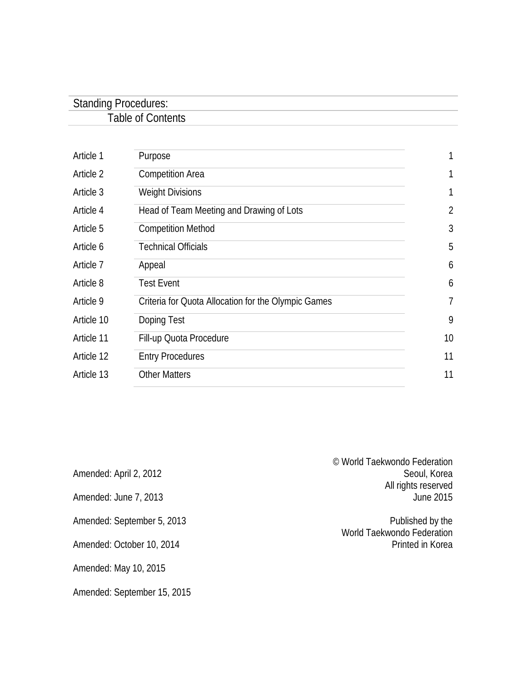| <b>Standing Procedures:</b> |  |
|-----------------------------|--|
| Table of Contents           |  |
|                             |  |

| Article 1  | Purpose                                             |                |
|------------|-----------------------------------------------------|----------------|
| Article 2  | <b>Competition Area</b>                             | 1              |
| Article 3  | <b>Weight Divisions</b>                             | 1              |
| Article 4  | Head of Team Meeting and Drawing of Lots            | $\overline{2}$ |
| Article 5  | <b>Competition Method</b>                           | 3              |
| Article 6  | <b>Technical Officials</b>                          | 5              |
| Article 7  | Appeal                                              | 6              |
| Article 8  | <b>Test Event</b>                                   | 6              |
| Article 9  | Criteria for Quota Allocation for the Olympic Games | 7              |
| Article 10 | Doping Test                                         | 9              |
| Article 11 | Fill-up Quota Procedure                             | 10             |
| Article 12 | <b>Entry Procedures</b>                             | 11             |
| Article 13 | <b>Other Matters</b>                                | 11             |

| Amended: April 2, 2012     | © World Taekwondo Federation<br>Seoul, Korea<br>All rights reserved |
|----------------------------|---------------------------------------------------------------------|
| Amended: June 7, 2013      | June 2015                                                           |
| Amended: September 5, 2013 | Published by the<br>World Taekwondo Federation                      |
| Amended: October 10, 2014  | Printed in Korea                                                    |
| Amended: May 10, 2015      |                                                                     |

Amended: September 15, 2015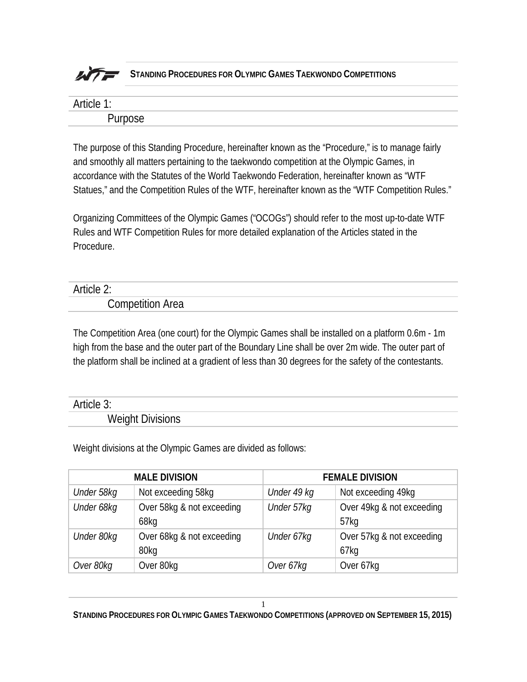

| _  |  |
|----|--|
| м. |  |

The purpose of this Standing Procedure, hereinafter known as the "Procedure," is to manage fairly and smoothly all matters pertaining to the taekwondo competition at the Olympic Games, in accordance with the Statutes of the World Taekwondo Federation, hereinafter known as "WTF Statues," and the Competition Rules of the WTF, hereinafter known as the "WTF Competition Rules."

Organizing Committees of the Olympic Games ("OCOGs") should refer to the most up-to-date WTF Rules and WTF Competition Rules for more detailed explanation of the Articles stated in the Procedure.

### Article 2: Competition Area

The Competition Area (one court) for the Olympic Games shall be installed on a platform 0.6m - 1m high from the base and the outer part of the Boundary Line shall be over 2m wide. The outer part of the platform shall be inclined at a gradient of less than 30 degrees for the safety of the contestants.

#### Article 3:

Weight Divisions

Weight divisions at the Olympic Games are divided as follows:

| <b>MALE DIVISION</b> |                           | <b>FEMALE DIVISION</b> |                           |
|----------------------|---------------------------|------------------------|---------------------------|
| Under 58kg           | Not exceeding 58kg        | Under 49 kg            | Not exceeding 49kg        |
| Under 68kg           | Over 58kg & not exceeding | Under 57kg             | Over 49kg & not exceeding |
|                      | 68kg                      |                        | 57kg                      |
| Under 80kg           | Over 68kg & not exceeding | Under 67kg             | Over 57kg & not exceeding |
|                      | 80kg                      |                        | 67kg                      |
| Over 80kg            | Over 80kg                 | Over 67kg              | Over 67kg                 |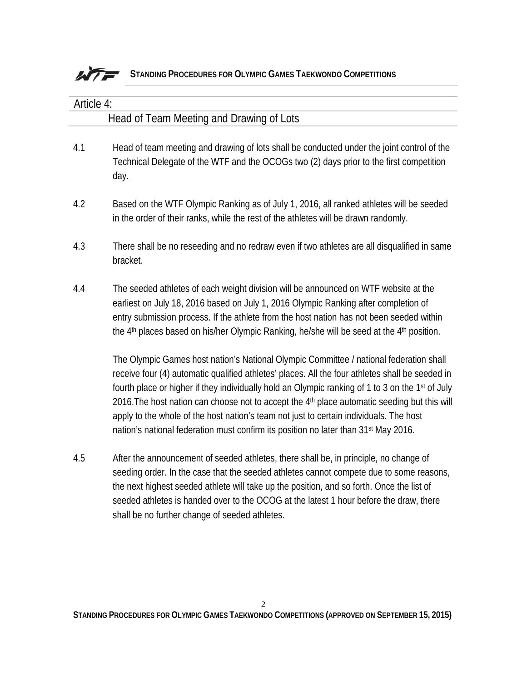

| Article 4: |                                                                                                                                                                                                                                                                                                                                                                                                                                                                                                                                                                                                        |  |  |
|------------|--------------------------------------------------------------------------------------------------------------------------------------------------------------------------------------------------------------------------------------------------------------------------------------------------------------------------------------------------------------------------------------------------------------------------------------------------------------------------------------------------------------------------------------------------------------------------------------------------------|--|--|
|            | Head of Team Meeting and Drawing of Lots                                                                                                                                                                                                                                                                                                                                                                                                                                                                                                                                                               |  |  |
| 4.1        | Head of team meeting and drawing of lots shall be conducted under the joint control of the<br>Technical Delegate of the WTF and the OCOGs two (2) days prior to the first competition<br>day.                                                                                                                                                                                                                                                                                                                                                                                                          |  |  |
| 4.2        | Based on the WTF Olympic Ranking as of July 1, 2016, all ranked athletes will be seeded<br>in the order of their ranks, while the rest of the athletes will be drawn randomly.                                                                                                                                                                                                                                                                                                                                                                                                                         |  |  |
| 4.3        | There shall be no reseeding and no redraw even if two athletes are all disqualified in same<br>bracket.                                                                                                                                                                                                                                                                                                                                                                                                                                                                                                |  |  |
| 4.4        | The seeded athletes of each weight division will be announced on WTF website at the<br>earliest on July 18, 2016 based on July 1, 2016 Olympic Ranking after completion of<br>entry submission process. If the athlete from the host nation has not been seeded within<br>the 4 <sup>th</sup> places based on his/her Olympic Ranking, he/she will be seed at the 4 <sup>th</sup> position.                                                                                                                                                                                                            |  |  |
|            | The Olympic Games host nation's National Olympic Committee / national federation shall<br>receive four (4) automatic qualified athletes' places. All the four athletes shall be seeded in<br>fourth place or higher if they individually hold an Olympic ranking of 1 to 3 on the 1 <sup>st</sup> of July<br>2016. The host nation can choose not to accept the 4th place automatic seeding but this will<br>apply to the whole of the host nation's team not just to certain individuals. The host<br>nation's national federation must confirm its position no later than 31 <sup>st</sup> May 2016. |  |  |
| 4.5        | After the announcement of seeded athletes, there shall be, in principle, no change of<br>seeding order. In the case that the seeded athletes cannot compete due to some reasons,<br>the next highest seeded athlete will take up the position, and so forth. Once the list of<br>seeded athletes is handed over to the OCOG at the latest 1 hour before the draw, there                                                                                                                                                                                                                                |  |  |

shall be no further change of seeded athletes.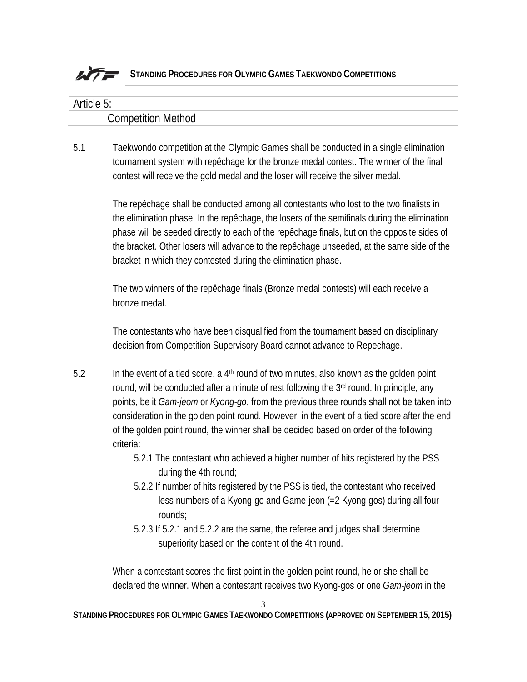

## Article 5: Competition Method

5.1 Taekwondo competition at the Olympic Games shall be conducted in a single elimination tournament system with repêchage for the bronze medal contest. The winner of the final contest will receive the gold medal and the loser will receive the silver medal.

> The repêchage shall be conducted among all contestants who lost to the two finalists in the elimination phase. In the repêchage, the losers of the semifinals during the elimination phase will be seeded directly to each of the repêchage finals, but on the opposite sides of the bracket. Other losers will advance to the repêchage unseeded, at the same side of the bracket in which they contested during the elimination phase.

The two winners of the repêchage finals (Bronze medal contests) will each receive a bronze medal.

The contestants who have been disqualified from the tournament based on disciplinary decision from Competition Supervisory Board cannot advance to Repechage.

- 5.2 In the event of a tied score, a  $4<sup>th</sup>$  round of two minutes, also known as the golden point round, will be conducted after a minute of rest following the 3<sup>rd</sup> round. In principle, any points, be it *Gam-jeom* or *Kyong-go*, from the previous three rounds shall not be taken into consideration in the golden point round. However, in the event of a tied score after the end of the golden point round, the winner shall be decided based on order of the following criteria:
	- 5.2.1 The contestant who achieved a higher number of hits registered by the PSS during the 4th round;
	- 5.2.2 If number of hits registered by the PSS is tied, the contestant who received less numbers of a Kyong-go and Game-jeon (=2 Kyong-gos) during all four rounds;
	- 5.2.3 If 5.2.1 and 5.2.2 are the same, the referee and judges shall determine superiority based on the content of the 4th round.

When a contestant scores the first point in the golden point round, he or she shall be declared the winner. When a contestant receives two Kyong-gos or one *Gam-jeom* in the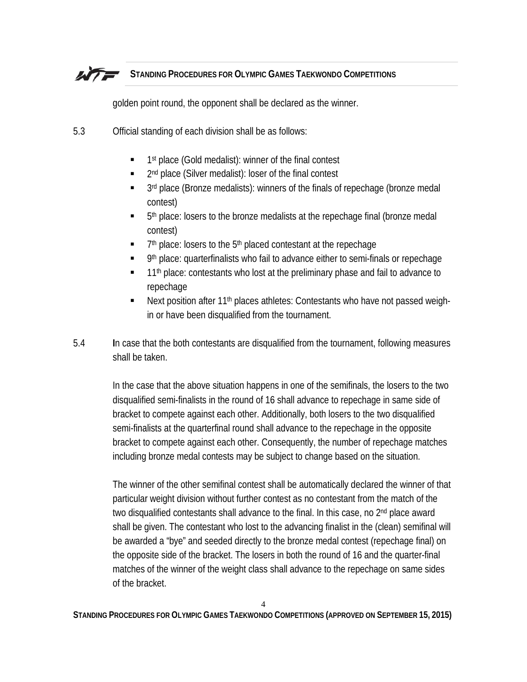golden point round, the opponent shall be declared as the winner.

- 5.3 Official standing of each division shall be as follows:
	- $\blacksquare$  1st place (Gold medalist): winner of the final contest
	- 2<sup>nd</sup> place (Silver medalist): loser of the final contest
	- 3rd place (Bronze medalists): winners of the finals of repechage (bronze medal contest)
	- 5th place: losers to the bronze medalists at the repechage final (bronze medal contest)
	- 7<sup>th</sup> place: losers to the 5<sup>th</sup> placed contestant at the repechage
	- 9th place: quarterfinalists who fail to advance either to semi-finals or repechage
	- 11<sup>th</sup> place: contestants who lost at the preliminary phase and fail to advance to repechage
	- Next position after 11th places athletes: Contestants who have not passed weighin or have been disqualified from the tournament.
- 5.4 **I**n case that the both contestants are disqualified from the tournament, following measures shall be taken.

In the case that the above situation happens in one of the semifinals, the losers to the two disqualified semi-finalists in the round of 16 shall advance to repechage in same side of bracket to compete against each other. Additionally, both losers to the two disqualified semi-finalists at the quarterfinal round shall advance to the repechage in the opposite bracket to compete against each other. Consequently, the number of repechage matches including bronze medal contests may be subject to change based on the situation.

The winner of the other semifinal contest shall be automatically declared the winner of that particular weight division without further contest as no contestant from the match of the two disqualified contestants shall advance to the final. In this case, no 2<sup>nd</sup> place award shall be given. The contestant who lost to the advancing finalist in the (clean) semifinal will be awarded a "bye" and seeded directly to the bronze medal contest (repechage final) on the opposite side of the bracket. The losers in both the round of 16 and the quarter-final matches of the winner of the weight class shall advance to the repechage on same sides of the bracket.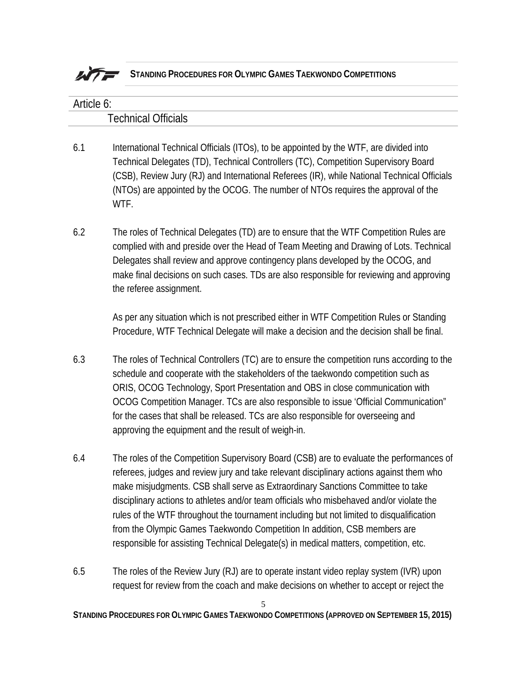

| Article 6: |                                                                                                                                                                                                                                                                                                                                                                                                                                                                                                       |  |  |
|------------|-------------------------------------------------------------------------------------------------------------------------------------------------------------------------------------------------------------------------------------------------------------------------------------------------------------------------------------------------------------------------------------------------------------------------------------------------------------------------------------------------------|--|--|
|            | <b>Technical Officials</b>                                                                                                                                                                                                                                                                                                                                                                                                                                                                            |  |  |
| 6.1        | International Technical Officials (ITOs), to be appointed by the WTF, are divided into<br>Technical Delegates (TD), Technical Controllers (TC), Competition Supervisory Board<br>(CSB), Review Jury (RJ) and International Referees (IR), while National Technical Officials<br>(NTOs) are appointed by the OCOG. The number of NTOs requires the approval of the<br>WTF.                                                                                                                             |  |  |
| 6.2        | The roles of Technical Delegates (TD) are to ensure that the WTF Competition Rules are<br>complied with and preside over the Head of Team Meeting and Drawing of Lots. Technical<br>Delegates shall review and approve contingency plans developed by the OCOG, and<br>make final decisions on such cases. TDs are also responsible for reviewing and approving<br>the referee assignment.                                                                                                            |  |  |
|            | As per any situation which is not prescribed either in WTF Competition Rules or Standing<br>Procedure, WTF Technical Delegate will make a decision and the decision shall be final.                                                                                                                                                                                                                                                                                                                   |  |  |
| 6.3        | The roles of Technical Controllers (TC) are to ensure the competition runs according to the<br>schedule and cooperate with the stakeholders of the taekwondo competition such as<br>ORIS, OCOG Technology, Sport Presentation and OBS in close communication with<br>OCOG Competition Manager. TCs are also responsible to issue 'Official Communication"<br>for the cases that shall be released. TCs are also responsible for overseeing and<br>approving the equipment and the result of weigh-in. |  |  |
| 6.4        | The roles of the Competition Supervisory Board (CSB) are to evaluate the performances of<br>referees, judges and review jury and take relevant disciplinary actions against them who<br>make misjudgments. CSB shall serve as Extraordinary Sanctions Committee to take                                                                                                                                                                                                                               |  |  |

- disciplinary actions to athletes and/or team officials who misbehaved and/or violate the rules of the WTF throughout the tournament including but not limited to disqualification from the Olympic Games Taekwondo Competition In addition, CSB members are responsible for assisting Technical Delegate(s) in medical matters, competition, etc.
- 6.5 The roles of the Review Jury (RJ) are to operate instant video replay system (IVR) upon request for review from the coach and make decisions on whether to accept or reject the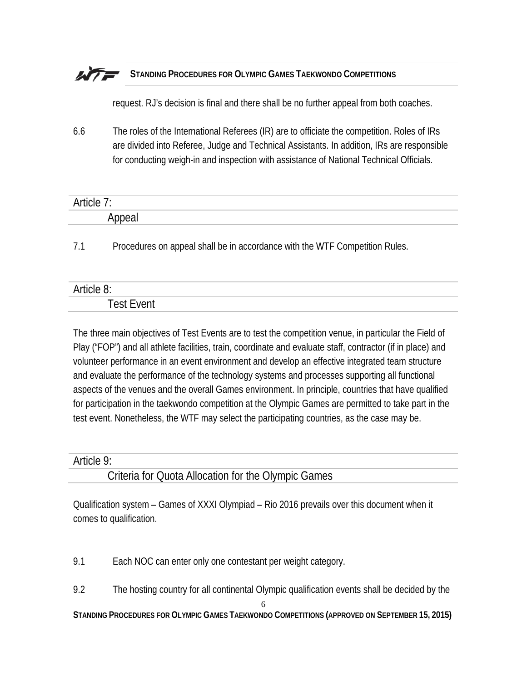request. RJ's decision is final and there shall be no further appeal from both coaches.

6.6 The roles of the International Referees (IR) are to officiate the competition. Roles of IRs are divided into Referee, Judge and Technical Assistants. In addition, IRs are responsible for conducting weigh-in and inspection with assistance of National Technical Officials.

| -<br>ாு     |  |
|-------------|--|
| ີ່<br>.<br> |  |

7.1 Procedures on appeal shall be in accordance with the WTF Competition Rules.

| --<br>ாப<br>_<br>$\mathbf{v}$<br>J. |  |
|-------------------------------------|--|
| ---<br>.                            |  |

The three main objectives of Test Events are to test the competition venue, in particular the Field of Play ("FOP") and all athlete facilities, train, coordinate and evaluate staff, contractor (if in place) and volunteer performance in an event environment and develop an effective integrated team structure and evaluate the performance of the technology systems and processes supporting all functional aspects of the venues and the overall Games environment. In principle, countries that have qualified for participation in the taekwondo competition at the Olympic Games are permitted to take part in the test event. Nonetheless, the WTF may select the participating countries, as the case may be.

#### Article 9:

#### Criteria for Quota Allocation for the Olympic Games

Qualification system – Games of XXXI Olympiad – Rio 2016 prevails over this document when it comes to qualification.

9.1 Each NOC can enter only one contestant per weight category.

9.2 The hosting country for all continental Olympic qualification events shall be decided by the

6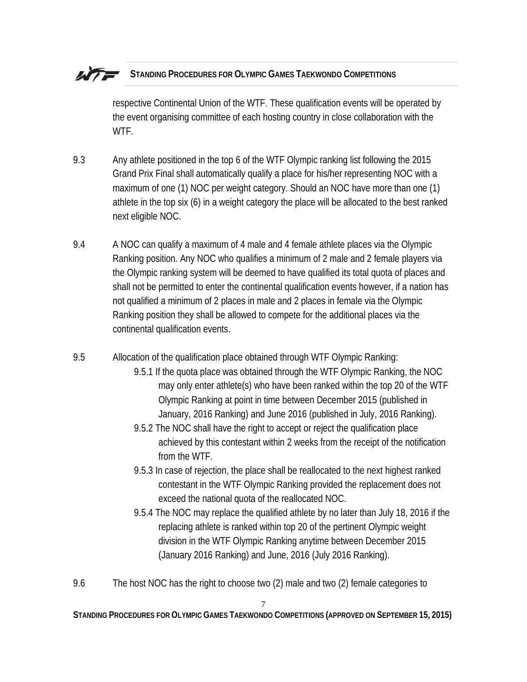respective Continental Union of the WTF. These qualification events will be operated by the event organising committee of each hosting country in close collaboration with the WTF.

- 9.3 Any athlete positioned in the top 6 of the WTF Olympic ranking list following the 2015 Grand Prix Final shall automatically qualify a place for his/her representing NOC with a maximum of one (1) NOC per weight category. Should an NOC have more than one (1) athlete in the top six (6) in a weight category the place will be allocated to the best ranked next eligible NOC.
- 9.4 A NOC can qualify a maximum of 4 male and 4 female athlete places via the Olympic Ranking position. Any NOC who qualifies a minimum of 2 male and 2 female players via the Olympic ranking system will be deemed to have qualified its total quota of places and shall not be permitted to enter the continental qualification events however, if a nation has not qualified a minimum of 2 places in male and 2 places in female via the Olympic Ranking position they shall be allowed to compete for the additional places via the continental qualification events.

9.5 Allocation of the qualification place obtained through WTF Olympic Ranking:

- 9.5.1 If the quota place was obtained through the WTF Olympic Ranking, the NOC may only enter athlete(s) who have been ranked within the top 20 of the WTF Olympic Ranking at point in time between December 2015 (published in January, 2016 Ranking) and June 2016 (published in July, 2016 Ranking).
- 9.5.2 The NOC shall have the right to accept or reject the qualification place achieved by this contestant within 2 weeks from the receipt of the notification from the WTF.
- 9.5.3 In case of rejection, the place shall be reallocated to the next highest ranked contestant in the WTF Olympic Ranking provided the replacement does not exceed the national quota of the reallocated NOC.
- 9.5.4 The NOC may replace the qualified athlete by no later than July 18, 2016 if the replacing athlete is ranked within top 20 of the pertinent Olympic weight division in the WTF Olympic Ranking anytime between December 2015 (January 2016 Ranking) and June, 2016 (July 2016 Ranking).
- 9.6 The host NOC has the right to choose two (2) male and two (2) female categories to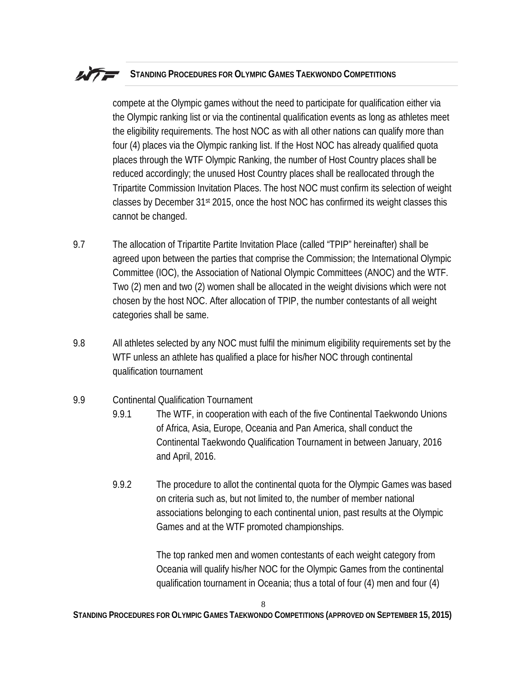compete at the Olympic games without the need to participate for qualification either via the Olympic ranking list or via the continental qualification events as long as athletes meet the eligibility requirements. The host NOC as with all other nations can qualify more than four (4) places via the Olympic ranking list. If the Host NOC has already qualified quota places through the WTF Olympic Ranking, the number of Host Country places shall be reduced accordingly; the unused Host Country places shall be reallocated through the Tripartite Commission Invitation Places. The host NOC must confirm its selection of weight classes by December 31st 2015, once the host NOC has confirmed its weight classes this cannot be changed.

- 9.7 The allocation of Tripartite Partite Invitation Place (called "TPIP" hereinafter) shall be agreed upon between the parties that comprise the Commission; the International Olympic Committee (IOC), the Association of National Olympic Committees (ANOC) and the WTF. Two (2) men and two (2) women shall be allocated in the weight divisions which were not chosen by the host NOC. After allocation of TPIP, the number contestants of all weight categories shall be same.
- 9.8 All athletes selected by any NOC must fulfil the minimum eligibility requirements set by the WTF unless an athlete has qualified a place for his/her NOC through continental qualification tournament
- 9.9 Continental Qualification Tournament
	- 9.9.1 The WTF, in cooperation with each of the five Continental Taekwondo Unions of Africa, Asia, Europe, Oceania and Pan America, shall conduct the Continental Taekwondo Qualification Tournament in between January, 2016 and April, 2016.
	- 9.9.2 The procedure to allot the continental quota for the Olympic Games was based on criteria such as, but not limited to, the number of member national associations belonging to each continental union, past results at the Olympic Games and at the WTF promoted championships.

The top ranked men and women contestants of each weight category from Oceania will qualify his/her NOC for the Olympic Games from the continental qualification tournament in Oceania; thus a total of four (4) men and four (4)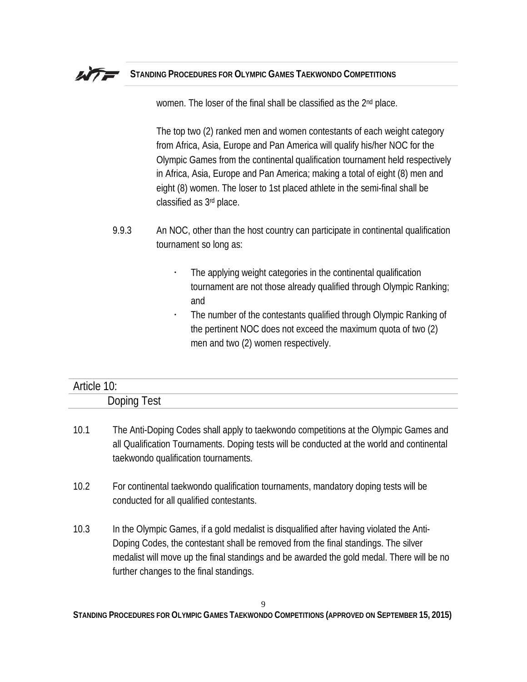

women. The loser of the final shall be classified as the 2<sup>nd</sup> place.

The top two (2) ranked men and women contestants of each weight category from Africa, Asia, Europe and Pan America will qualify his/her NOC for the Olympic Games from the continental qualification tournament held respectively in Africa, Asia, Europe and Pan America; making a total of eight (8) men and eight (8) women. The loser to 1st placed athlete in the semi-final shall be classified as 3rd place.

- 9.9.3 An NOC, other than the host country can participate in continental qualification tournament so long as:
	- The applying weight categories in the continental qualification tournament are not those already qualified through Olympic Ranking; and
	- The number of the contestants qualified through Olympic Ranking of the pertinent NOC does not exceed the maximum quota of two (2) men and two (2) women respectively.

| −                                             |  |
|-----------------------------------------------|--|
| $D_{\Omega}$<br>اء⊿َ<br>וו<br>DUPILI<br>ぃ<br> |  |

- 10.1 The Anti-Doping Codes shall apply to taekwondo competitions at the Olympic Games and all Qualification Tournaments. Doping tests will be conducted at the world and continental taekwondo qualification tournaments.
- 10.2 For continental taekwondo qualification tournaments, mandatory doping tests will be conducted for all qualified contestants.
- 10.3 In the Olympic Games, if a gold medalist is disqualified after having violated the Anti-Doping Codes, the contestant shall be removed from the final standings. The silver medalist will move up the final standings and be awarded the gold medal. There will be no further changes to the final standings.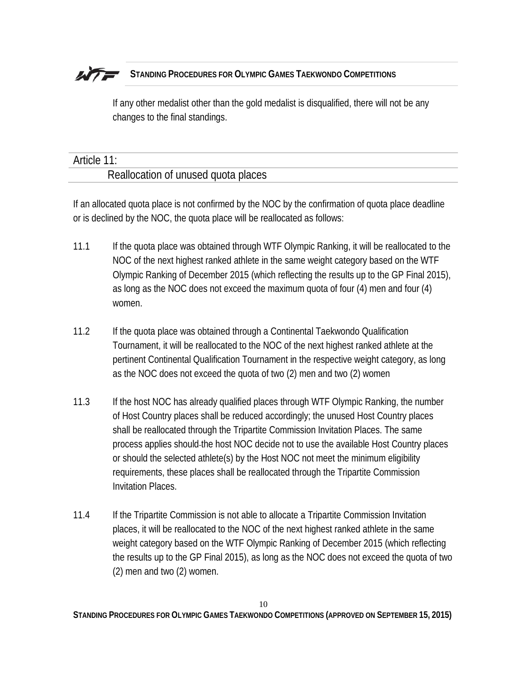If any other medalist other than the gold medalist is disqualified, there will not be any changes to the final standings.

## Article 11:

#### Reallocation of unused quota places

If an allocated quota place is not confirmed by the NOC by the confirmation of quota place deadline or is declined by the NOC, the quota place will be reallocated as follows:

- 11.1 If the quota place was obtained through WTF Olympic Ranking, it will be reallocated to the NOC of the next highest ranked athlete in the same weight category based on the WTF Olympic Ranking of December 2015 (which reflecting the results up to the GP Final 2015), as long as the NOC does not exceed the maximum quota of four (4) men and four (4) women.
- 11.2 If the quota place was obtained through a Continental Taekwondo Qualification Tournament, it will be reallocated to the NOC of the next highest ranked athlete at the pertinent Continental Qualification Tournament in the respective weight category, as long as the NOC does not exceed the quota of two (2) men and two (2) women
- 11.3 If the host NOC has already qualified places through WTF Olympic Ranking, the number of Host Country places shall be reduced accordingly; the unused Host Country places shall be reallocated through the Tripartite Commission Invitation Places. The same process applies should the host NOC decide not to use the available Host Country places or should the selected athlete(s) by the Host NOC not meet the minimum eligibility requirements, these places shall be reallocated through the Tripartite Commission Invitation Places.
- 11.4 If the Tripartite Commission is not able to allocate a Tripartite Commission Invitation places, it will be reallocated to the NOC of the next highest ranked athlete in the same weight category based on the WTF Olympic Ranking of December 2015 (which reflecting the results up to the GP Final 2015), as long as the NOC does not exceed the quota of two (2) men and two (2) women.